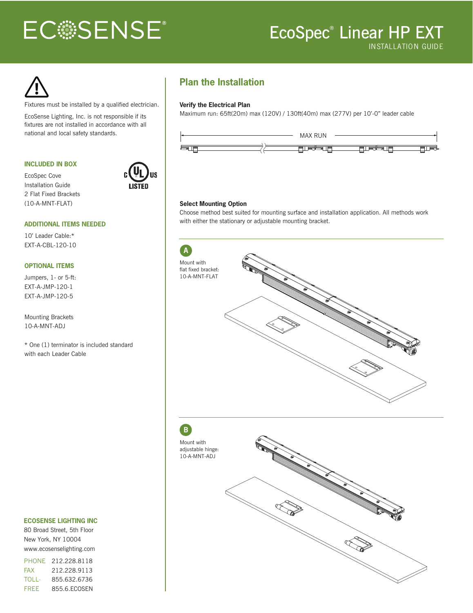# **ECSSENSE®**

## EcoSpec ® Linear HP EXT INSTALLATION GUIDE

Fixtures must be installed by a qualified electrician.

EcoSense Lighting, Inc. is not responsible if its fixtures are not installed in accordance with all

#### **INCLUDED IN BOX**

EcoSpec Cove Installation Guide 2 Flat Fixed Brackets (10-A-MNT-FLAT)



## **ADDITIONAL ITEMS NEEDED**

10' Leader Cable:\* EXT-A-CBL-120-10

#### **OPTIONAL ITEMS**

Jumpers, 1- or 5-ft: EXT-A-JMP-120-1 EXT-A-JMP-120-5

Mounting Brackets 10-A-MNT-ADJ

\* One (1) terminator is included standard with each Leader Cable

### **ECOSENSE LIGHTING INC**

80 Broad Street, 5th Floor New York, NY 10004 www.ecosenselighting.com

PHONE 212.228.8118 FAX 212.228.9113 TOLL-FREE 855.632.6736 855.6.ECOSEN

## **Plan the Installation**

#### **Verify the Electrical Plan**

Maximum run: 65ft(20m) max (120V) / 130ft(40m) max (277V) per 10'-0" leader cable



#### **Select Mounting Option**

Choose method best suited for mounting surface and installation application. All methods work with either the stationary or adjustable mounting bracket.